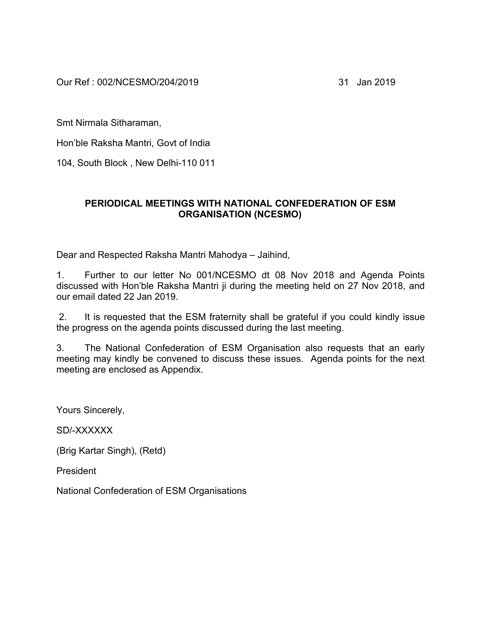Our Ref : 002/NCESMO/204/2019 31 Jan 2019

Smt Nirmala Sitharaman,

Hon'ble Raksha Mantri, Govt of India

104, South Block , New Delhi-110 011

## **PERIODICAL MEETINGS WITH NATIONAL CONFEDERATION OF ESM ORGANISATION (NCESMO)**

Dear and Respected Raksha Mantri Mahodya – Jaihind,

1. Further to our letter No 001/NCESMO dt 08 Nov 2018 and Agenda Points discussed with Hon'ble Raksha Mantri ji during the meeting held on 27 Nov 2018, and our email dated 22 Jan 2019.

2. It is requested that the ESM fraternity shall be grateful if you could kindly issue the progress on the agenda points discussed during the last meeting.

3. The National Confederation of ESM Organisation also requests that an early meeting may kindly be convened to discuss these issues. Agenda points for the next meeting are enclosed as Appendix.

Yours Sincerely,

SD/-XXXXXX

(Brig Kartar Singh), (Retd)

President

National Confederation of ESM Organisations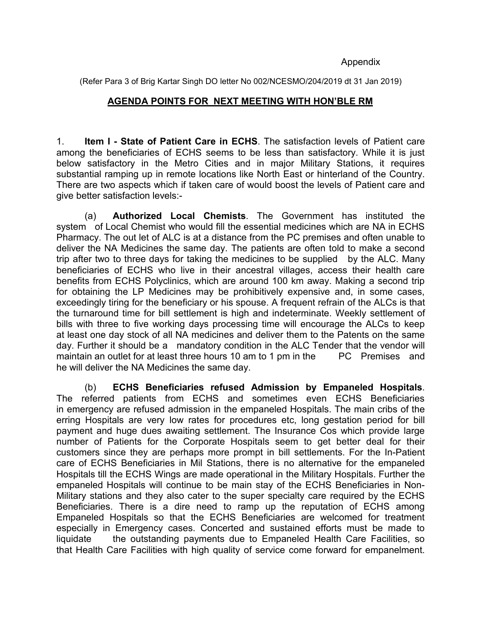#### Appendix

(Refer Para 3 of Brig Kartar Singh DO letter No 002/NCESMO/204/2019 dt 31 Jan 2019)

#### **AGENDA POINTS FOR NEXT MEETING WITH HON'BLE RM**

1. **Item I - State of Patient Care in ECHS**. The satisfaction levels of Patient care among the beneficiaries of ECHS seems to be less than satisfactory. While it is just below satisfactory in the Metro Cities and in major Military Stations, it requires substantial ramping up in remote locations like North East or hinterland of the Country. There are two aspects which if taken care of would boost the levels of Patient care and give better satisfaction levels:-

(a) **Authorized Local Chemists**. The Government has instituted the system of Local Chemist who would fill the essential medicines which are NA in ECHS Pharmacy. The out let of ALC is at a distance from the PC premises and often unable to deliver the NA Medicines the same day. The patients are often told to make a second trip after two to three days for taking the medicines to be supplied by the ALC. Many beneficiaries of ECHS who live in their ancestral villages, access their health care benefits from ECHS Polyclinics, which are around 100 km away. Making a second trip for obtaining the LP Medicines may be prohibitively expensive and, in some cases, exceedingly tiring for the beneficiary or his spouse. A frequent refrain of the ALCs is that the turnaround time for bill settlement is high and indeterminate. Weekly settlement of bills with three to five working days processing time will encourage the ALCs to keep at least one day stock of all NA medicines and deliver them to the Patents on the same day. Further it should be a mandatory condition in the ALC Tender that the vendor will maintain an outlet for at least three hours 10 am to 1 pm in the PC Premises and he will deliver the NA Medicines the same day.

(b) **ECHS Beneficiaries refused Admission by Empaneled Hospitals**. The referred patients from ECHS and sometimes even ECHS Beneficiaries in emergency are refused admission in the empaneled Hospitals. The main cribs of the erring Hospitals are very low rates for procedures etc, long gestation period for bill payment and huge dues awaiting settlement. The Insurance Cos which provide large number of Patients for the Corporate Hospitals seem to get better deal for their customers since they are perhaps more prompt in bill settlements. For the In-Patient care of ECHS Beneficiaries in Mil Stations, there is no alternative for the empaneled Hospitals till the ECHS Wings are made operational in the Military Hospitals. Further the empaneled Hospitals will continue to be main stay of the ECHS Beneficiaries in Non-Military stations and they also cater to the super specialty care required by the ECHS Beneficiaries. There is a dire need to ramp up the reputation of ECHS among Empaneled Hospitals so that the ECHS Beneficiaries are welcomed for treatment especially in Emergency cases. Concerted and sustained efforts must be made to liquidate the outstanding payments due to Empaneled Health Care Facilities, so that Health Care Facilities with high quality of service come forward for empanelment.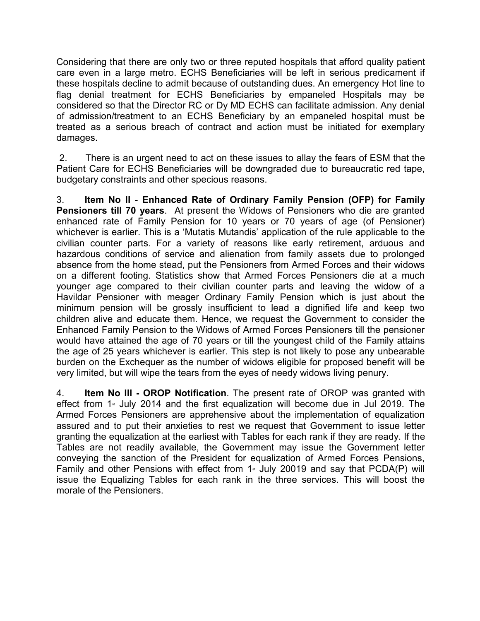Considering that there are only two or three reputed hospitals that afford quality patient care even in a large metro. ECHS Beneficiaries will be left in serious predicament if these hospitals decline to admit because of outstanding dues. An emergency Hot line to flag denial treatment for ECHS Beneficiaries by empaneled Hospitals may be considered so that the Director RC or Dy MD ECHS can facilitate admission. Any denial of admission/treatment to an ECHS Beneficiary by an empaneled hospital must be treated as a serious breach of contract and action must be initiated for exemplary damages.

2. There is an urgent need to act on these issues to allay the fears of ESM that the Patient Care for ECHS Beneficiaries will be downgraded due to bureaucratic red tape, budgetary constraints and other specious reasons.

3. **Item No II** - **Enhanced Rate of Ordinary Family Pension (OFP) for Family Pensioners till 70 years**. At present the Widows of Pensioners who die are granted enhanced rate of Family Pension for 10 years or 70 years of age (of Pensioner) whichever is earlier. This is a 'Mutatis Mutandis' application of the rule applicable to the civilian counter parts. For a variety of reasons like early retirement, arduous and hazardous conditions of service and alienation from family assets due to prolonged absence from the home stead, put the Pensioners from Armed Forces and their widows on a different footing. Statistics show that Armed Forces Pensioners die at a much younger age compared to their civilian counter parts and leaving the widow of a Havildar Pensioner with meager Ordinary Family Pension which is just about the minimum pension will be grossly insufficient to lead a dignified life and keep two children alive and educate them. Hence, we request the Government to consider the Enhanced Family Pension to the Widows of Armed Forces Pensioners till the pensioner would have attained the age of 70 years or till the youngest child of the Family attains the age of 25 years whichever is earlier. This step is not likely to pose any unbearable burden on the Exchequer as the number of widows eligible for proposed benefit will be very limited, but will wipe the tears from the eyes of needy widows living penury.

4. **Item No III - OROP Notification**. The present rate of OROP was granted with effect from  $1$ <sup>s</sup> July 2014 and the first equalization will become due in Jul 2019. The Armed Forces Pensioners are apprehensive about the implementation of equalization assured and to put their anxieties to rest we request that Government to issue letter granting the equalization at the earliest with Tables for each rank if they are ready. If the Tables are not readily available, the Government may issue the Government letter conveying the sanction of the President for equalization of Armed Forces Pensions, Family and other Pensions with effect from  $1$ <sup>\*</sup> July 20019 and say that PCDA(P) will issue the Equalizing Tables for each rank in the three services. This will boost the morale of the Pensioners.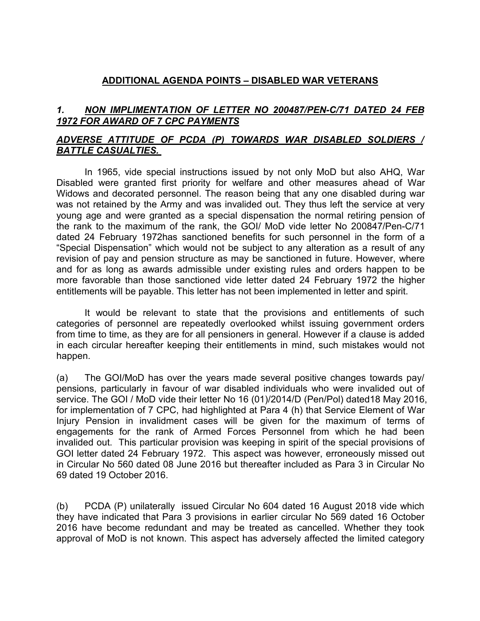# **ADDITIONAL AGENDA POINTS – DISABLED WAR VETERANS**

# *1. NON IMPLIMENTATION OF LETTER NO 200487/PEN-C/71 DATED 24 FEB 1972 FOR AWARD OF 7 CPC PAYMENTS*

# *ADVERSE ATTITUDE OF PCDA (P) TOWARDS WAR DISABLED SOLDIERS / BATTLE CASUALTIES.*

In 1965, vide special instructions issued by not only MoD but also AHQ, War Disabled were granted first priority for welfare and other measures ahead of War Widows and decorated personnel. The reason being that any one disabled during war was not retained by the Army and was invalided out. They thus left the service at very young age and were granted as a special dispensation the normal retiring pension of the rank to the maximum of the rank, the GOI/ MoD vide letter No 200847/Pen-C/71 dated 24 February 1972has sanctioned benefits for such personnel in the form of a "Special Dispensation" which would not be subject to any alteration as a result of any revision of pay and pension structure as may be sanctioned in future. However, where and for as long as awards admissible under existing rules and orders happen to be more favorable than those sanctioned vide letter dated 24 February 1972 the higher entitlements will be payable. This letter has not been implemented in letter and spirit.

It would be relevant to state that the provisions and entitlements of such categories of personnel are repeatedly overlooked whilst issuing government orders from time to time, as they are forall pensioners in general. However if a clause is added in each circular hereafter keeping their entitlements in mind, such mistakes would not happen.

(a) The GOI/MoD has over the years made several positive changes towards pay/ pensions, particularly in favour of war disabled individuals who were invalided out of service. The GOI / MoD vide their letter No 16 (01)/2014/D (Pen/Pol) dated18 May 2016, for implementation of 7 CPC, had highlighted at Para 4 (h) that Service Element of War Injury Pension in invalidment cases will be given for the maximum of terms of engagements for the rank of Armed Forces Personnel from which he had been invalided out. This particular provision was keeping in spirit of the special provisions of GOI letter dated 24 February 1972. This aspect was however, erroneously missed out in Circular No 560 dated 08 June 2016 but thereafter included as Para 3 in Circular No 69 dated 19 October 2016.

(b) PCDA (P) unilaterally issued Circular No 604 dated 16 August 2018 vide which they have indicated that Para 3 provisions in earlier circular No 569 dated 16 October 2016 have become redundant and may be treated as cancelled. Whether they took approval of MoD is not known. This aspect has adversely affected the limited category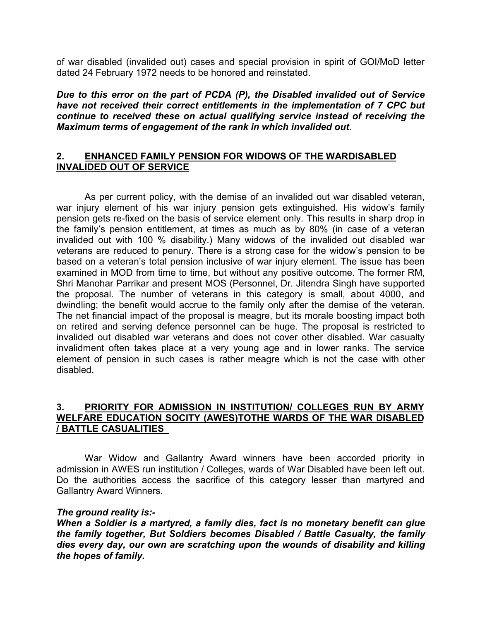of war disabled (invalided out) cases and special provision in spirit of GOI/MoD letter dated 24 February 1972 needs to be honored and reinstated.

*Due to this error on the part of PCDA (P), the Disabled invalided out of Service have not received their correct entitlements in the implementation of 7 CPC but continue to received these on actual qualifying service instead of receiving the Maximum terms of engagement of the rank in which invalided out*.

## **2. ENHANCED FAMILY PENSION FOR WIDOWS OF THE WARDISABLED INVALIDED OUT OF SERVICE**

As per current policy, with the demise of an invalided out war disabled veteran, war injury element of his war injury pension gets extinguished. His widow's family pension gets re-fixed on the basis of service element only. This results in sharp drop in the family's pension entitlement, at times as much as by 80% (in case of a veteran invalided out with 100 % disability.) Many widows of the invalided out disabled war veterans are reduced to penury. There is a strong case for the widow's pension to be based on a veteran's total pension inclusive of war injury element.The issue has been examined in MOD from time to time, but without any positive outcome. The former RM, Shri Manohar Parrikar and present MOS (Personnel, Dr. Jitendra Singh have supported the proposal. The number of veterans in this category is small, about 4000, and dwindling; the benefit would accrue to the family only after the demise of the veteran. The net financial impact of the proposal is meagre, but its morale boosting impact both on retired and serving defence personnel can be huge. The proposal is restricted to invalided out disabled war veterans and does not cover other disabled. War casualty invalidment often takes place at a very young age and in lower ranks. The service element of pension in such cases is rather meagre which is not the case with other disabled.

### **3. PRIORITY FOR ADMISSION IN INSTITUTION/ COLLEGES RUN BY ARMY WELFARE EDUCATION SOCITY (AWES)TOTHE WARDS OF THE WAR DISABLED / BATTLE CASUALITIES**

War Widow and Gallantry Award winners have been accorded priority in admission in AWES run institution / Colleges, wards of War Disabled have been left out. Do the authorities access the sacrifice of this category lesser than martyred and Gallantry Award Winners.

### *The ground reality is:-*

*When a Soldier is a martyred, a family dies, fact is no monetary benefit can glue the family together, But Soldiers becomes Disabled / Battle Casualty, the family dies every day,our own are scratching upon the wounds of disability and killing the hopes of family.*